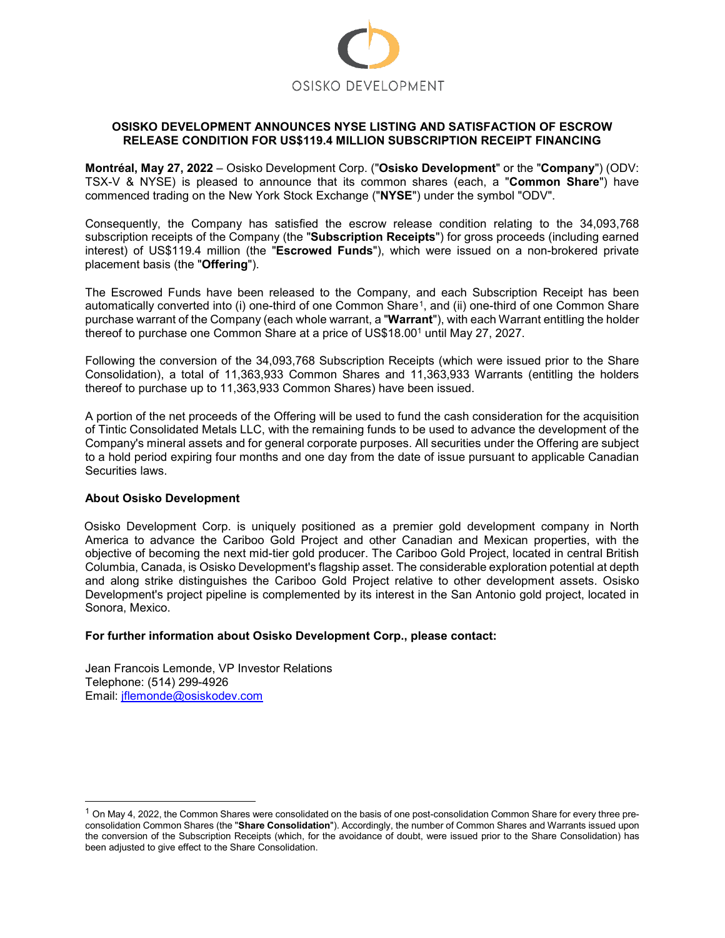

# **OSISKO DEVELOPMENT ANNOUNCES NYSE LISTING AND SATISFACTION OF ESCROW RELEASE CONDITION FOR US\$119.4 MILLION SUBSCRIPTION RECEIPT FINANCING**

**Montréal, May 27, 2022** – Osisko Development Corp. ("**Osisko Development**" or the "**Company**") (ODV: TSX-V & NYSE) is pleased to announce that its common shares (each, a "**Common Share**") have commenced trading on the New York Stock Exchange ("**NYSE**") under the symbol "ODV".

Consequently, the Company has satisfied the escrow release condition relating to the 34,093,768 subscription receipts of the Company (the "**Subscription Receipts**") for gross proceeds (including earned interest) of US\$119.4 million (the "**Escrowed Funds**"), which were issued on a non-brokered private placement basis (the "**Offering**").

The Escrowed Funds have been released to the Company, and each Subscription Receipt has been automatically converted into (i) one-third of one Common Share<sup>1</sup>, and (ii) one-third of one Common Share purchase warrant of the Company (each whole warrant, a "**Warrant**"), with each Warrant entitling the holder thereof to purchase one Common Share at a price of US\$18.00<sup>1</sup> until May 27, 2027.

Following the conversion of the 34,093,768 Subscription Receipts (which were issued prior to the Share Consolidation), a total of 11,363,933 Common Shares and 11,363,933 Warrants (entitling the holders thereof to purchase up to 11,363,933 Common Shares) have been issued.

A portion of the net proceeds of the Offering will be used to fund the cash consideration for the acquisition of Tintic Consolidated Metals LLC, with the remaining funds to be used to advance the development of the Company's mineral assets and for general corporate purposes. All securities under the Offering are subject to a hold period expiring four months and one day from the date of issue pursuant to applicable Canadian Securities laws.

# **About Osisko Development**

Osisko Development Corp. is uniquely positioned as a premier gold development company in North America to advance the Cariboo Gold Project and other Canadian and Mexican properties, with the objective of becoming the next mid-tier gold producer. The Cariboo Gold Project, located in central British Columbia, Canada, is Osisko Development's flagship asset. The considerable exploration potential at depth and along strike distinguishes the Cariboo Gold Project relative to other development assets. Osisko Development's project pipeline is complemented by its interest in the San Antonio gold project, located in Sonora, Mexico.

# **For further information about Osisko Development Corp., please contact:**

Jean Francois Lemonde, VP Investor Relations Telephone: (514) 299-4926 Email: [jflemonde@osiskodev.com](mailto:jflemonde@osiskodev.com)

<span id="page-0-0"></span> $1$  On May 4, 2022, the Common Shares were consolidated on the basis of one post-consolidation Common Share for every three preconsolidation Common Shares (the "**Share Consolidation**"). Accordingly, the number of Common Shares and Warrants issued upon the conversion of the Subscription Receipts (which, for the avoidance of doubt, were issued prior to the Share Consolidation) has been adjusted to give effect to the Share Consolidation.